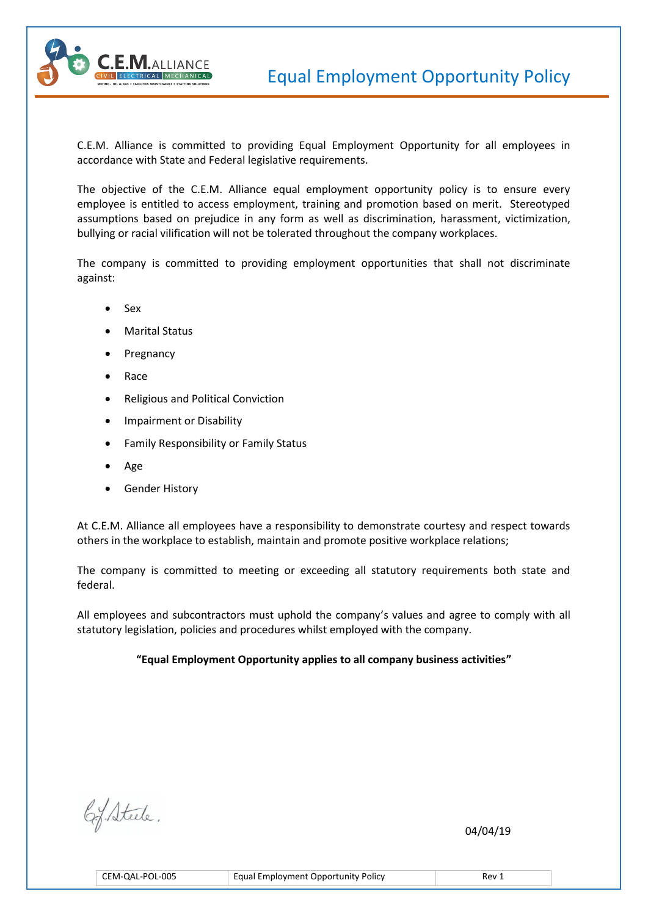

C.E.M. Alliance is committed to providing Equal Employment Opportunity for all employees in accordance with State and Federal legislative requirements.

The objective of the C.E.M. Alliance equal employment opportunity policy is to ensure every employee is entitled to access employment, training and promotion based on merit. Stereotyped assumptions based on prejudice in any form as well as discrimination, harassment, victimization, bullying or racial vilification will not be tolerated throughout the company workplaces.

The company is committed to providing employment opportunities that shall not discriminate against:

- Sex
- Marital Status
- Pregnancy
- Race
- Religious and Political Conviction
- Impairment or Disability
- Family Responsibility or Family Status
- Age
- Gender History

At C.E.M. Alliance all employees have a responsibility to demonstrate courtesy and respect towards others in the workplace to establish, maintain and promote positive workplace relations;

The company is committed to meeting or exceeding all statutory requirements both state and federal.

All employees and subcontractors must uphold the company's values and agree to comply with all statutory legislation, policies and procedures whilst employed with the company.

## **"Equal Employment Opportunity applies to all company business activities"**

 $\mathcal{O}(4/19)$